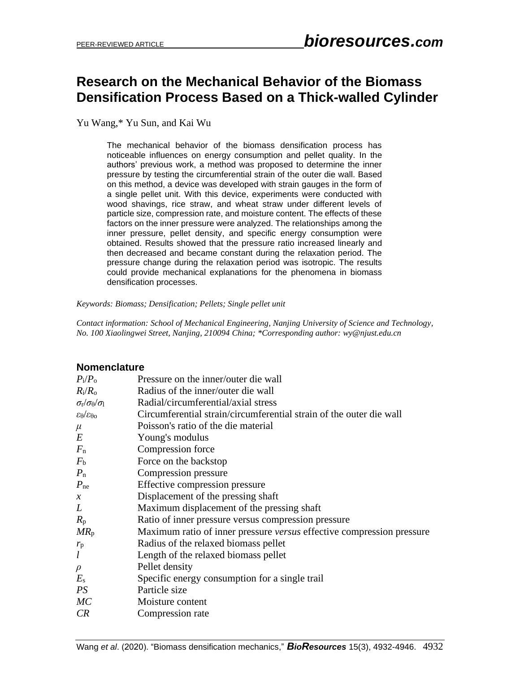# **Research on the Mechanical Behavior of the Biomass Densification Process Based on a Thick-walled Cylinder**

Yu Wang,\* Yu Sun, and Kai Wu

The mechanical behavior of the biomass densification process has noticeable influences on energy consumption and pellet quality. In the authors' previous work, a method was proposed to determine the inner pressure by testing the circumferential strain of the outer die wall. Based on this method, a device was developed with strain gauges in the form of a single pellet unit. With this device, experiments were conducted with wood shavings, rice straw, and wheat straw under different levels of particle size, compression rate, and moisture content. The effects of these factors on the inner pressure were analyzed. The relationships among the inner pressure, pellet density, and specific energy consumption were obtained. Results showed that the pressure ratio increased linearly and then decreased and became constant during the relaxation period. The pressure change during the relaxation period was isotropic. The results could provide mechanical explanations for the phenomena in biomass densification processes.

*Keywords: Biomass; Densification; Pellets; Single pellet unit*

*Contact information: School of Mechanical Engineering, Nanjing University of Science and Technology, No. 100 Xiaolingwei Street, Nanjing, 210094 China; \*Corresponding author: wy@njust.edu.cn*

#### **Nomenclature**

| $P_i/P_o$                                                 | Pressure on the inner/outer die wall                                  |
|-----------------------------------------------------------|-----------------------------------------------------------------------|
| $R_i/R_o$                                                 | Radius of the inner/outer die wall                                    |
| $\sigma_{\rm r}\!/ \sigma_{\rm \theta}\!/ \sigma_{\rm l}$ | Radial/circumferential/axial stress                                   |
| $\epsilon_{\theta}/\epsilon_{\theta\sigma}$               | Circumferential strain/circumferential strain of the outer die wall   |
| $\mu$                                                     | Poisson's ratio of the die material                                   |
| $\cal E$                                                  | Young's modulus                                                       |
| $F_{\rm n}$                                               | Compression force                                                     |
| $F_{\rm b}$                                               | Force on the backstop                                                 |
| $P_{\rm n}$                                               | Compression pressure                                                  |
| $P_{\text{ne}}$                                           | Effective compression pressure                                        |
| $\chi$                                                    | Displacement of the pressing shaft                                    |
| L                                                         | Maximum displacement of the pressing shaft                            |
| $R_{p}$                                                   | Ratio of inner pressure versus compression pressure                   |
| $MR_{p}$                                                  | Maximum ratio of inner pressure versus effective compression pressure |
| $r_{\rm p}$                                               | Radius of the relaxed biomass pellet                                  |
| l                                                         | Length of the relaxed biomass pellet                                  |
| $\rho$                                                    | Pellet density                                                        |
| $E_{\rm s}$                                               | Specific energy consumption for a single trail                        |
| PS                                                        | Particle size                                                         |
| МC                                                        | Moisture content                                                      |
| CR                                                        | Compression rate                                                      |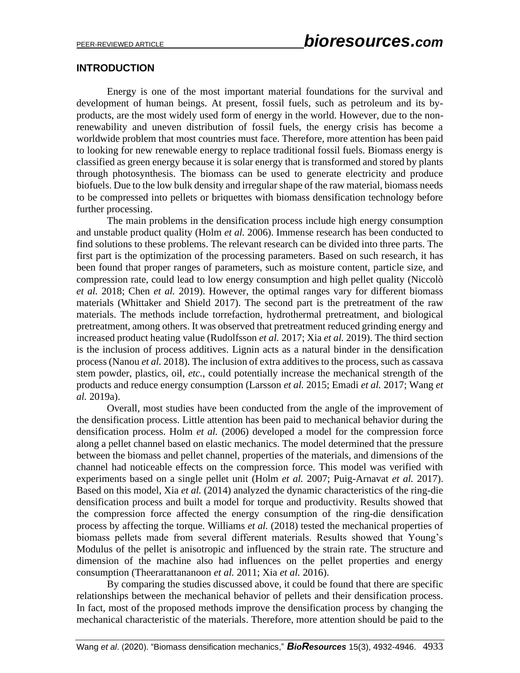### **INTRODUCTION**

Energy is one of the most important material foundations for the survival and development of human beings. At present, fossil fuels, such as petroleum and its byproducts, are the most widely used form of energy in the world. However, due to the nonrenewability and uneven distribution of fossil fuels, the energy crisis has become a worldwide problem that most countries must face. Therefore, more attention has been paid to looking for new renewable energy to replace traditional fossil fuels. Biomass energy is classified as green energy because it is solar energy that is transformed and stored by plants through photosynthesis. The biomass can be used to generate electricity and produce biofuels. Due to the low bulk density and irregular shape of the raw material, biomass needs to be compressed into pellets or briquettes with biomass densification technology before further processing.

The main problems in the densification process include high energy consumption and unstable product quality (Holm *et al.* 2006). Immense research has been conducted to find solutions to these problems. The relevant research can be divided into three parts. The first part is the optimization of the processing parameters. Based on such research, it has been found that proper ranges of parameters, such as moisture content, particle size, and compression rate, could lead to low energy consumption and high pellet quality (Niccolò *et al.* 2018; Chen *et al.* 2019). However, the optimal ranges vary for different biomass materials (Whittaker and Shield 2017). The second part is the pretreatment of the raw materials. The methods include torrefaction, hydrothermal pretreatment, and biological pretreatment, among others. It was observed that pretreatment reduced grinding energy and increased product heating value (Rudolfsson *et al.* 2017; Xia *et al.* 2019). The third section is the inclusion of process additives. Lignin acts as a natural binder in the densification process (Nanou *et al.* 2018). The inclusion of extra additives to the process, such as cassava stem powder, plastics, oil, *etc.*, could potentially increase the mechanical strength of the products and reduce energy consumption (Larsson *et al.* 2015; Emadi *et al.* 2017; Wang *et al.* 2019a).

Overall, most studies have been conducted from the angle of the improvement of the densification process. Little attention has been paid to mechanical behavior during the densification process. Holm *et al.* (2006) developed a model for the compression force along a pellet channel based on elastic mechanics. The model determined that the pressure between the biomass and pellet channel, properties of the materials, and dimensions of the channel had noticeable effects on the compression force. This model was verified with experiments based on a single pellet unit (Holm *et al.* 2007; Puig-Arnavat *et al.* 2017). Based on this model, Xia *et al.* (2014) analyzed the dynamic characteristics of the ring-die densification process and built a model for torque and productivity. Results showed that the compression force affected the energy consumption of the ring-die densification process by affecting the torque. Williams *et al.* (2018) tested the mechanical properties of biomass pellets made from several different materials. Results showed that Young's Modulus of the pellet is anisotropic and influenced by the strain rate. The structure and dimension of the machine also had influences on the pellet properties and energy consumption (Theerarattananoon *et al.* 2011; Xia *et al.* 2016).

By comparing the studies discussed above, it could be found that there are specific relationships between the mechanical behavior of pellets and their densification process. In fact, most of the proposed methods improve the densification process by changing the mechanical characteristic of the materials. Therefore, more attention should be paid to the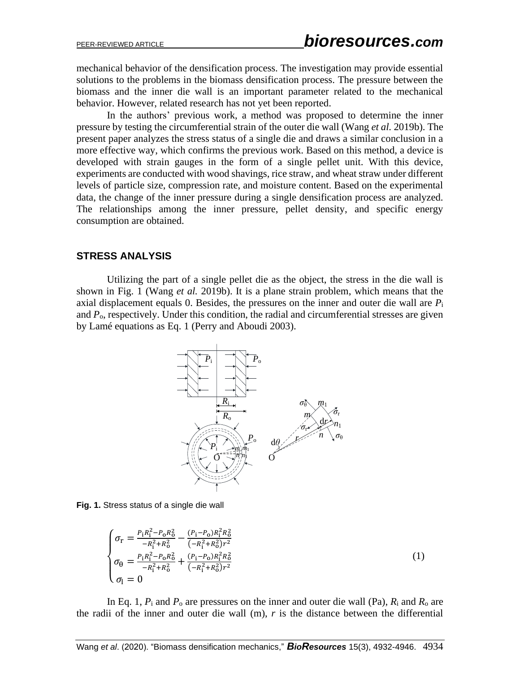mechanical behavior of the densification process. The investigation may provide essential solutions to the problems in the biomass densification process. The pressure between the biomass and the inner die wall is an important parameter related to the mechanical behavior. However, related research has not yet been reported.

In the authors' previous work, a method was proposed to determine the inner pressure by testing the circumferential strain of the outer die wall (Wang *et al.* 2019b). The present paper analyzes the stress status of a single die and draws a similar conclusion in a more effective way, which confirms the previous work. Based on this method, a device is developed with strain gauges in the form of a single pellet unit. With this device, experiments are conducted with wood shavings, rice straw, and wheat straw under different levels of particle size, compression rate, and moisture content. Based on the experimental data, the change of the inner pressure during a single densification process are analyzed. The relationships among the inner pressure, pellet density, and specific energy consumption are obtained.

### **STRESS ANALYSIS**

Utilizing the part of a single pellet die as the object, the stress in the die wall is shown in Fig. 1 (Wang *et al.* 2019b). It is a plane strain problem, which means that the axial displacement equals 0. Besides, the pressures on the inner and outer die wall are *P*<sup>i</sup> and *P*o, respectively. Under this condition, the radial and circumferential stresses are given by Lamé equations as Eq. 1 (Perry and Aboudi 2003).



**Fig. 1.** Stress status of a single die wall

$$
\begin{cases}\n\sigma_{\rm r} = \frac{P_{\rm i}R_{\rm i}^2 - P_{\rm o}R_{\rm o}^2}{-R_{\rm i}^2 + R_{\rm o}^2} - \frac{(P_{\rm i} - P_{\rm o})R_{\rm i}^2 R_{\rm o}^2}{(-R_{\rm i}^2 + R_{\rm o}^2)r^2} \\
\sigma_{\theta} = \frac{P_{\rm i}R_{\rm i}^2 - P_{\rm o}R_{\rm o}^2}{-R_{\rm i}^2 + R_{\rm o}^2} + \frac{(P_{\rm i} - P_{\rm o})R_{\rm i}^2 R_{\rm o}^2}{(-R_{\rm i}^2 + R_{\rm o}^2)r^2} \\
\sigma_{\rm l} = 0\n\end{cases} \tag{1}
$$

In Eq. 1,  $P_i$  and  $P_o$  are pressures on the inner and outer die wall (Pa),  $R_i$  and  $R_o$  are the radii of the inner and outer die wall  $(m)$ ,  $r$  is the distance between the differential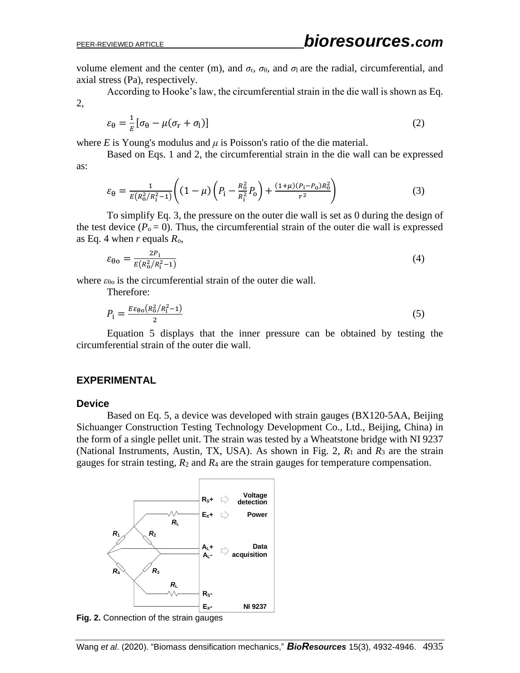volume element and the center (m), and  $\sigma$ <sub>r</sub>,  $\sigma$ <sub>θ</sub>, and  $\sigma$ <sub>l</sub> are the radial, circumferential, and axial stress (Pa), respectively.

According to Hooke's law, the circumferential strain in the die wall is shown as Eq. 2,

$$
\varepsilon_{\theta} = \frac{1}{E} [\sigma_{\theta} - \mu (\sigma_{\text{r}} + \sigma_{\text{l}})] \tag{2}
$$

where  $E$  is Young's modulus and  $\mu$  is Poisson's ratio of the die material.

Based on Eqs. 1 and 2, the circumferential strain in the die wall can be expressed as:

$$
\varepsilon_{\theta} = \frac{1}{E(R_0^2/R_1^2 - 1)} \left( (1 - \mu) \left( P_1 - \frac{R_0^2}{R_1^2} P_0 \right) + \frac{(1 + \mu)(P_1 - P_0)R_0^2}{r^2} \right) \tag{3}
$$

To simplify Eq. 3, the pressure on the outer die wall is set as 0 during the design of the test device  $(P_0 = 0)$ . Thus, the circumferential strain of the outer die wall is expressed as Eq. 4 when *r* equals *R*o,

$$
\varepsilon_{\theta\sigma} = \frac{2P_{i}}{E(R_{\sigma}^{2}/R_{i}^{2} - 1)}\tag{4}
$$

where  $\varepsilon_{\theta}$  is the circumferential strain of the outer die wall.

Therefore:

$$
P_{\rm i} = \frac{E\varepsilon_{\theta o}(R_0^2/R_{\rm i}^2 - 1)}{2} \tag{5}
$$

Equation 5 displays that the inner pressure can be obtained by testing the circumferential strain of the outer die wall.

#### **EXPERIMENTAL**

#### **Device**

Based on Eq. 5, a device was developed with strain gauges (BX120-5AA, Beijing Sichuanger Construction Testing Technology Development Co., Ltd., Beijing, China) in the form of a single pellet unit. The strain was tested by a Wheatstone bridge with NI 9237 (National Instruments, Austin, TX, USA). As shown in Fig. 2, *R*<sup>1</sup> and *R*<sup>3</sup> are the strain gauges for strain testing,  $R_2$  and  $R_4$  are the strain gauges for temperature compensation.



**Fig. 2.** Connection of the strain gauges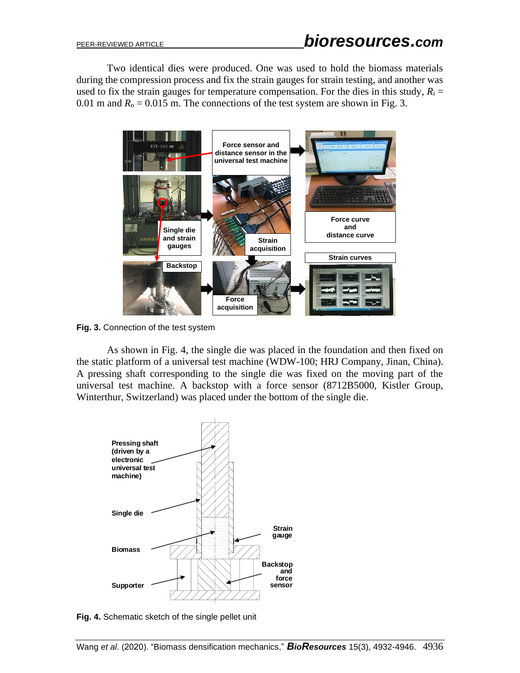Two identical dies were produced. One was used to hold the biomass materials during the compression process and fix the strain gauges for strain testing, and another was used to fix the strain gauges for temperature compensation. For the dies in this study,  $R_i =$ 0.01 m and  $R_0 = 0.015$  m. The connections of the test system are shown in Fig. 3.



**Fig. 3.** Connection of the test system

As shown in Fig. 4, the single die was placed in the foundation and then fixed on the static platform of a universal test machine (WDW-100; HRJ Company, Jinan, China). A pressing shaft corresponding to the single die was fixed on the moving part of the universal test machine. A backstop with a force sensor (8712B5000, Kistler Group, Winterthur, Switzerland) was placed under the bottom of the single die.



**Fig. 4.** Schematic sketch of the single pellet unit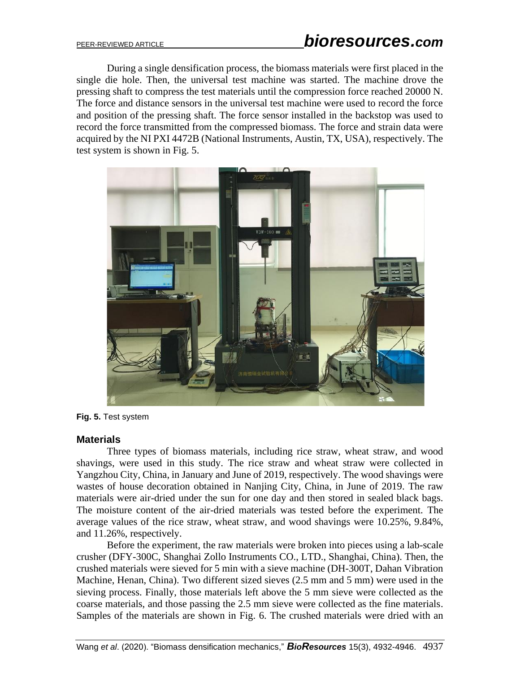During a single densification process, the biomass materials were first placed in the single die hole. Then, the universal test machine was started. The machine drove the pressing shaft to compress the test materials until the compression force reached 20000 N. The force and distance sensors in the universal test machine were used to record the force and position of the pressing shaft. The force sensor installed in the backstop was used to record the force transmitted from the compressed biomass. The force and strain data were acquired by the NI PXI 4472B (National Instruments, Austin, TX, USA), respectively. The test system is shown in Fig. 5.



**Fig. 5.** Test system

#### **Materials**

Three types of biomass materials, including rice straw, wheat straw, and wood shavings, were used in this study. The rice straw and wheat straw were collected in Yangzhou City, China, in January and June of 2019, respectively. The wood shavings were wastes of house decoration obtained in Nanjing City, China, in June of 2019. The raw materials were air-dried under the sun for one day and then stored in sealed black bags. The moisture content of the air-dried materials was tested before the experiment. The average values of the rice straw, wheat straw, and wood shavings were 10.25%, 9.84%, and 11.26%, respectively.

Before the experiment, the raw materials were broken into pieces using a lab-scale crusher (DFY-300C, Shanghai Zollo Instruments CO., LTD., Shanghai, China). Then, the crushed materials were sieved for 5 min with a sieve machine (DH-300T, Dahan Vibration Machine, Henan, China). Two different sized sieves (2.5 mm and 5 mm) were used in the sieving process. Finally, those materials left above the 5 mm sieve were collected as the coarse materials, and those passing the 2.5 mm sieve were collected as the fine materials. Samples of the materials are shown in Fig. 6. The crushed materials were dried with an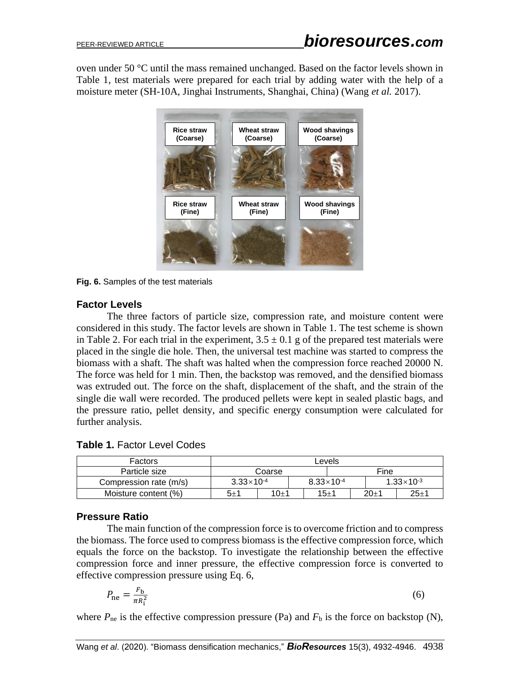oven under 50 °C until the mass remained unchanged. Based on the factor levels shown in Table 1, test materials were prepared for each trial by adding water with the help of a moisture meter (SH-10A, Jinghai Instruments, Shanghai, China) (Wang *et al.* 2017).



**Fig. 6.** Samples of the test materials

### **Factor Levels**

The three factors of particle size, compression rate, and moisture content were considered in this study. The factor levels are shown in Table 1. The test scheme is shown in Table 2. For each trial in the experiment,  $3.5 \pm 0.1$  g of the prepared test materials were placed in the single die hole. Then, the universal test machine was started to compress the biomass with a shaft. The shaft was halted when the compression force reached 20000 N. The force was held for 1 min. Then, the backstop was removed, and the densified biomass was extruded out. The force on the shaft, displacement of the shaft, and the strain of the single die wall were recorded. The produced pellets were kept in sealed plastic bags, and the pressure ratio, pellet density, and specific energy consumption were calculated for further analysis.

| <b>Table 1. Factor Level Codes</b> |  |
|------------------------------------|--|
|------------------------------------|--|

| <b>Factors</b>         | Levels                |        |                       |  |  |                       |          |
|------------------------|-----------------------|--------|-----------------------|--|--|-----------------------|----------|
| Particle size          | Coarse                |        |                       |  |  | Fine                  |          |
| Compression rate (m/s) | $3.33 \times 10^{-4}$ |        | $8.33 \times 10^{-4}$ |  |  | $1.33 \times 10^{-3}$ |          |
| Moisture content (%)   | $5 + 1$               | $10+1$ | $15 + 1$              |  |  | $20+1$                | $25 + 1$ |

### **Pressure Ratio**

The main function of the compression force is to overcome friction and to compress the biomass. The force used to compress biomass is the effective compression force, which equals the force on the backstop. To investigate the relationship between the effective compression force and inner pressure, the effective compression force is converted to effective compression pressure using Eq. 6,

$$
P_{\text{ne}} = \frac{F_{\text{b}}}{\pi R_{\text{i}}^2} \tag{6}
$$

where  $P_{\text{ne}}$  is the effective compression pressure (Pa) and  $F_{\text{b}}$  is the force on backstop (N),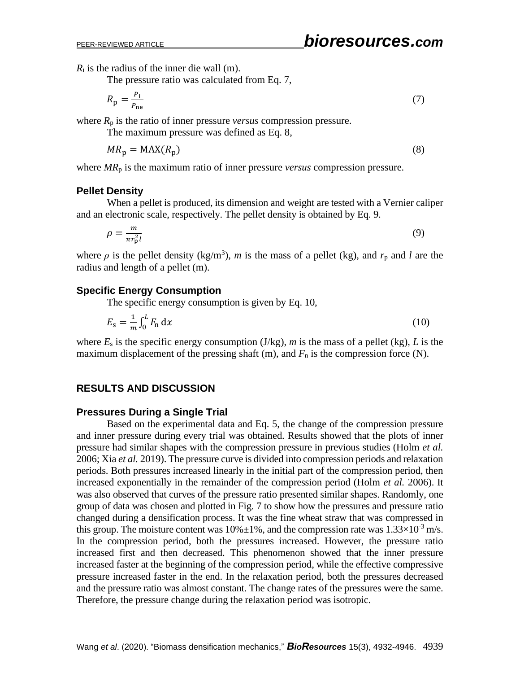*R*<sup>i</sup> is the radius of the inner die wall (m).

The pressure ratio was calculated from Eq. 7,

$$
R_{\rm p} = \frac{P_{\rm i}}{P_{\rm ne}} \tag{7}
$$

where  $R_p$  is the ratio of inner pressure *versus* compression pressure.

The maximum pressure was defined as Eq. 8,

$$
MR_{\rm p} = \text{MAX}(R_{\rm p})\tag{8}
$$

where *MR*<sup>p</sup> is the maximum ratio of inner pressure *versus* compression pressure.

### **Pellet Density**

When a pellet is produced, its dimension and weight are tested with a Vernier caliper and an electronic scale, respectively. The pellet density is obtained by Eq. 9.

$$
\rho = \frac{m}{\pi r_{\rm p}^2 l} \tag{9}
$$

where  $\rho$  is the pellet density (kg/m<sup>3</sup>), *m* is the mass of a pellet (kg), and  $r_p$  and *l* are the radius and length of a pellet (m).

### **Specific Energy Consumption**

The specific energy consumption is given by Eq. 10,

$$
E_{\rm s} = \frac{1}{m} \int_0^L F_{\rm n} \, \mathrm{d}x \tag{10}
$$

where  $E_s$  is the specific energy consumption (J/kg),  $m$  is the mass of a pellet (kg),  $L$  is the maximum displacement of the pressing shaft  $(m)$ , and  $F_n$  is the compression force  $(N)$ .

### **RESULTS AND DISCUSSION**

#### **Pressures During a Single Trial**

Based on the experimental data and Eq. 5, the change of the compression pressure and inner pressure during every trial was obtained. Results showed that the plots of inner pressure had similar shapes with the compression pressure in previous studies (Holm *et al.* 2006; Xia *et al.* 2019). The pressure curve is divided into compression periods and relaxation periods. Both pressures increased linearly in the initial part of the compression period, then increased exponentially in the remainder of the compression period (Holm *et al.* 2006). It was also observed that curves of the pressure ratio presented similar shapes. Randomly, one group of data was chosen and plotted in Fig. 7 to show how the pressures and pressure ratio changed during a densification process. It was the fine wheat straw that was compressed in this group. The moisture content was  $10\% \pm 1\%$ , and the compression rate was  $1.33 \times 10^{-3}$  m/s. In the compression period, both the pressures increased. However, the pressure ratio increased first and then decreased. This phenomenon showed that the inner pressure increased faster at the beginning of the compression period, while the effective compressive pressure increased faster in the end. In the relaxation period, both the pressures decreased and the pressure ratio was almost constant. The change rates of the pressures were the same. Therefore, the pressure change during the relaxation period was isotropic.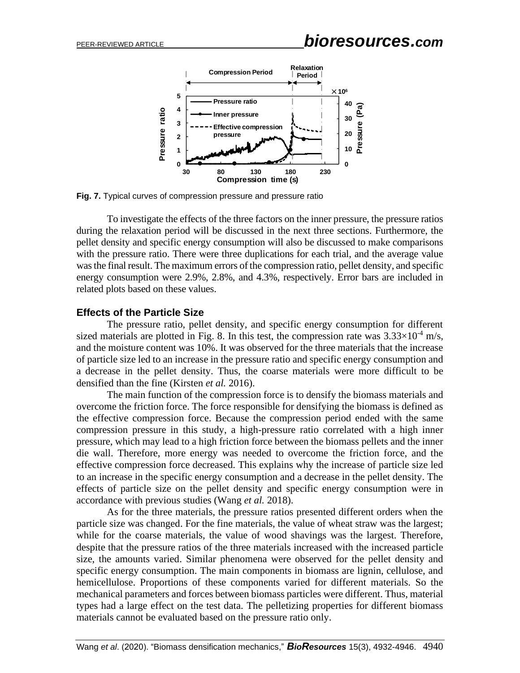

**Fig. 7.** Typical curves of compression pressure and pressure ratio

To investigate the effects of the three factors on the inner pressure, the pressure ratios during the relaxation period will be discussed in the next three sections. Furthermore, the pellet density and specific energy consumption will also be discussed to make comparisons with the pressure ratio. There were three duplications for each trial, and the average value was the final result. The maximum errors of the compression ratio, pellet density, and specific energy consumption were 2.9%, 2.8%, and 4.3%, respectively. Error bars are included in related plots based on these values.

### **Effects of the Particle Size**

The pressure ratio, pellet density, and specific energy consumption for different sized materials are plotted in Fig. 8. In this test, the compression rate was  $3.33 \times 10^{-4}$  m/s, and the moisture content was 10%. It was observed for the three materials that the increase of particle size led to an increase in the pressure ratio and specific energy consumption and a decrease in the pellet density. Thus, the coarse materials were more difficult to be densified than the fine (Kirsten *et al.* 2016).

The main function of the compression force is to densify the biomass materials and overcome the friction force. The force responsible for densifying the biomass is defined as the effective compression force. Because the compression period ended with the same compression pressure in this study, a high-pressure ratio correlated with a high inner pressure, which may lead to a high friction force between the biomass pellets and the inner die wall. Therefore, more energy was needed to overcome the friction force, and the effective compression force decreased. This explains why the increase of particle size led to an increase in the specific energy consumption and a decrease in the pellet density. The effects of particle size on the pellet density and specific energy consumption were in accordance with previous studies (Wang *et al.* 2018).

As for the three materials, the pressure ratios presented different orders when the particle size was changed. For the fine materials, the value of wheat straw was the largest; while for the coarse materials, the value of wood shavings was the largest. Therefore, despite that the pressure ratios of the three materials increased with the increased particle size, the amounts varied. Similar phenomena were observed for the pellet density and specific energy consumption. The main components in biomass are lignin, cellulose, and hemicellulose. Proportions of these components varied for different materials. So the mechanical parameters and forces between biomass particles were different. Thus, material types had a large effect on the test data. The pelletizing properties for different biomass materials cannot be evaluated based on the pressure ratio only.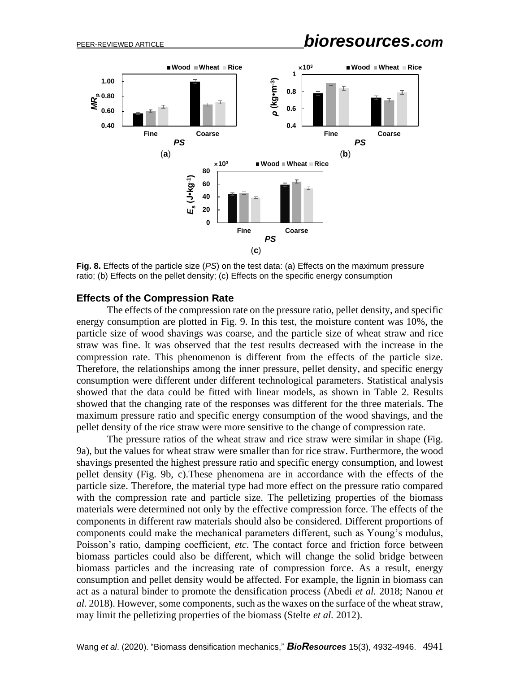PEER-REVIEWED ARTICLE *bioresources.com*



**Fig. 8.** Effects of the particle size (*PS*) on the test data: (a) Effects on the maximum pressure ratio; (b) Effects on the pellet density; (c) Effects on the specific energy consumption

#### **Effects of the Compression Rate**

The effects of the compression rate on the pressure ratio, pellet density, and specific energy consumption are plotted in Fig. 9. In this test, the moisture content was 10%, the particle size of wood shavings was coarse, and the particle size of wheat straw and rice straw was fine. It was observed that the test results decreased with the increase in the compression rate. This phenomenon is different from the effects of the particle size. Therefore, the relationships among the inner pressure, pellet density, and specific energy consumption were different under different technological parameters. Statistical analysis showed that the data could be fitted with linear models, as shown in Table 2. Results showed that the changing rate of the responses was different for the three materials. The maximum pressure ratio and specific energy consumption of the wood shavings, and the pellet density of the rice straw were more sensitive to the change of compression rate.

The pressure ratios of the wheat straw and rice straw were similar in shape (Fig. 9a), but the values for wheat straw were smaller than for rice straw. Furthermore, the wood shavings presented the highest pressure ratio and specific energy consumption, and lowest pellet density (Fig. 9b, c).These phenomena are in accordance with the effects of the particle size. Therefore, the material type had more effect on the pressure ratio compared with the compression rate and particle size. The pelletizing properties of the biomass materials were determined not only by the effective compression force. The effects of the components in different raw materials should also be considered. Different proportions of components could make the mechanical parameters different, such as Young's modulus, Poisson's ratio, damping coefficient, *etc*. The contact force and friction force between biomass particles could also be different, which will change the solid bridge between biomass particles and the increasing rate of compression force. As a result, energy consumption and pellet density would be affected. For example, the lignin in biomass can act as a natural binder to promote the densification process (Abedi *et al.* 2018; Nanou *et al.* 2018). However, some components, such as the waxes on the surface of the wheat straw, may limit the pelletizing properties of the biomass (Stelte *et al.* 2012).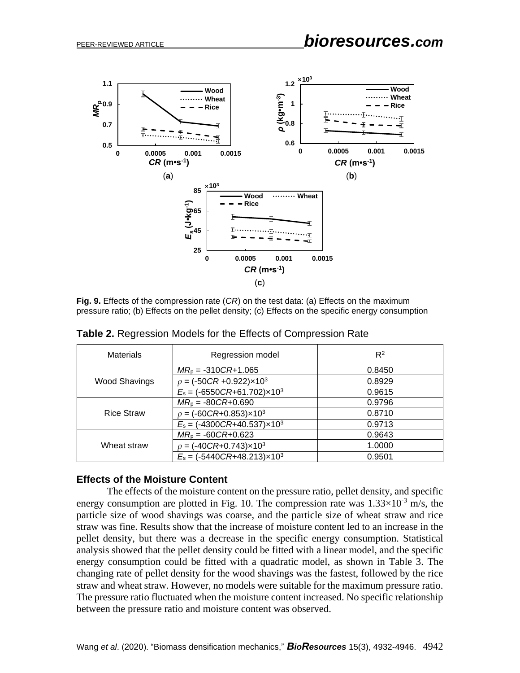

**Fig. 9.** Effects of the compression rate (*CR*) on the test data: (a) Effects on the maximum pressure ratio; (b) Effects on the pellet density; (c) Effects on the specific energy consumption

| <b>Materials</b>     | Regression model                               | $R^2$  |
|----------------------|------------------------------------------------|--------|
|                      | $MR_p = -310CR + 1.065$                        | 0.8450 |
| <b>Wood Shavings</b> | $\rho = (-50CR + 0.922) \times 10^3$           | 0.8929 |
|                      | $E_s = (-6550CR + 61.702)x10^3$                | 0.9615 |
|                      | $MR_p = -80CR + 0.690$                         | 0.9796 |
| <b>Rice Straw</b>    | $\rho = (-60 \text{CR}+0.853) \times 10^3$     | 0.8710 |
|                      | $E_s = (-4300 \text{CR} + 40.537) \times 10^3$ | 0.9713 |
|                      | $MR_p = -60CR + 0.623$                         | 0.9643 |
| Wheat straw          | $\rho = (-40CR + 0.743) \times 10^3$           | 1.0000 |
|                      | $E_s = (-5440 \text{CR} + 48.213) \times 10^3$ | 0.9501 |

**Table 2.** Regression Models for the Effects of Compression Rate

#### **Effects of the Moisture Content**

The effects of the moisture content on the pressure ratio, pellet density, and specific energy consumption are plotted in Fig. 10. The compression rate was  $1.33 \times 10^{-3}$  m/s, the particle size of wood shavings was coarse, and the particle size of wheat straw and rice straw was fine. Results show that the increase of moisture content led to an increase in the pellet density, but there was a decrease in the specific energy consumption. Statistical analysis showed that the pellet density could be fitted with a linear model, and the specific energy consumption could be fitted with a quadratic model, as shown in Table 3. The changing rate of pellet density for the wood shavings was the fastest, followed by the rice straw and wheat straw. However, no models were suitable for the maximum pressure ratio. The pressure ratio fluctuated when the moisture content increased. No specific relationship between the pressure ratio and moisture content was observed.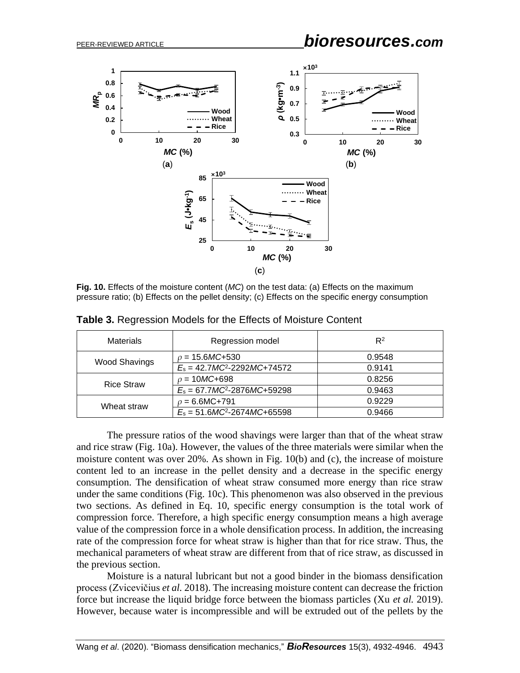

**Fig. 10.** Effects of the moisture content (*MC*) on the test data: (a) Effects on the maximum pressure ratio; (b) Effects on the pellet density; (c) Effects on the specific energy consumption

| <b>Materials</b>     | Regression model                  | $R^2$  |
|----------------------|-----------------------------------|--------|
| <b>Wood Shavings</b> | $\rho = 15.6MC + 530$             | 0.9548 |
|                      | $E_s = 42.7MC^2 - 2292MC + 74572$ | 0.9141 |
| <b>Rice Straw</b>    | $\rho = 10MC + 698$               | 0.8256 |
|                      | $E_s = 67.7MC^2 - 2876MC + 59298$ | 0.9463 |
| Wheat straw          | $\rho = 6.6MC + 791$              | 0.9229 |
|                      | $E_s = 51.6MC^2-2674MC+65598$     | 0.9466 |

**Table 3.** Regression Models for the Effects of Moisture Content

The pressure ratios of the wood shavings were larger than that of the wheat straw and rice straw (Fig. 10a). However, the values of the three materials were similar when the moisture content was over 20%. As shown in Fig. 10(b) and (c), the increase of moisture content led to an increase in the pellet density and a decrease in the specific energy consumption. The densification of wheat straw consumed more energy than rice straw under the same conditions (Fig. 10c). This phenomenon was also observed in the previous two sections. As defined in Eq. 10, specific energy consumption is the total work of compression force. Therefore, a high specific energy consumption means a high average value of the compression force in a whole densification process. In addition, the increasing rate of the compression force for wheat straw is higher than that for rice straw. Thus, the mechanical parameters of wheat straw are different from that of rice straw, as discussed in the previous section.

Moisture is a natural lubricant but not a good binder in the biomass densification process (Zvicevičius *et al.* 2018). The increasing moisture content can decrease the friction force but increase the liquid bridge force between the biomass particles (Xu *et al.* 2019). However, because water is incompressible and will be extruded out of the pellets by the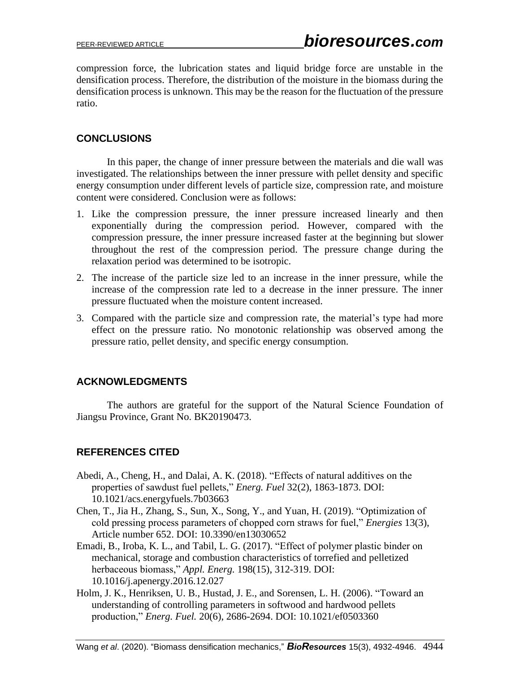compression force, the lubrication states and liquid bridge force are unstable in the densification process. Therefore, the distribution of the moisture in the biomass during the densification process is unknown. This may be the reason for the fluctuation of the pressure ratio.

## **CONCLUSIONS**

In this paper, the change of inner pressure between the materials and die wall was investigated. The relationships between the inner pressure with pellet density and specific energy consumption under different levels of particle size, compression rate, and moisture content were considered. Conclusion were as follows:

- 1. Like the compression pressure, the inner pressure increased linearly and then exponentially during the compression period. However, compared with the compression pressure, the inner pressure increased faster at the beginning but slower throughout the rest of the compression period. The pressure change during the relaxation period was determined to be isotropic.
- 2. The increase of the particle size led to an increase in the inner pressure, while the increase of the compression rate led to a decrease in the inner pressure. The inner pressure fluctuated when the moisture content increased.
- 3. Compared with the particle size and compression rate, the material's type had more effect on the pressure ratio. No monotonic relationship was observed among the pressure ratio, pellet density, and specific energy consumption.

# **ACKNOWLEDGMENTS**

The authors are grateful for the support of the Natural Science Foundation of Jiangsu Province, Grant No. BK20190473.

# **REFERENCES CITED**

- Abedi, A., Cheng, H., and Dalai, A. K. (2018). "Effects of natural additives on the properties of sawdust fuel pellets," *Energ. Fuel* 32(2), 1863-1873. DOI: 10.1021/acs.energyfuels.7b03663
- Chen, T., Jia H., Zhang, S., Sun, X., Song, Y., and Yuan, H. (2019). "Optimization of cold pressing process parameters of chopped corn straws for fuel," *Energies* 13(3), Article number 652. DOI: 10.3390/en13030652
- Emadi, B., Iroba, K. L., and Tabil, L. G. (2017). "Effect of polymer plastic binder on mechanical, storage and combustion characteristics of torrefied and pelletized herbaceous biomass," *Appl. Energ.* 198(15), 312-319. DOI: 10.1016/j.apenergy.2016.12.027
- Holm, J. K., Henriksen, U. B., Hustad, J. E., and Sorensen, L. H. (2006). "Toward an understanding of controlling parameters in softwood and hardwood pellets production," *Energ. Fuel.* 20(6), 2686-2694. DOI: 10.1021/ef0503360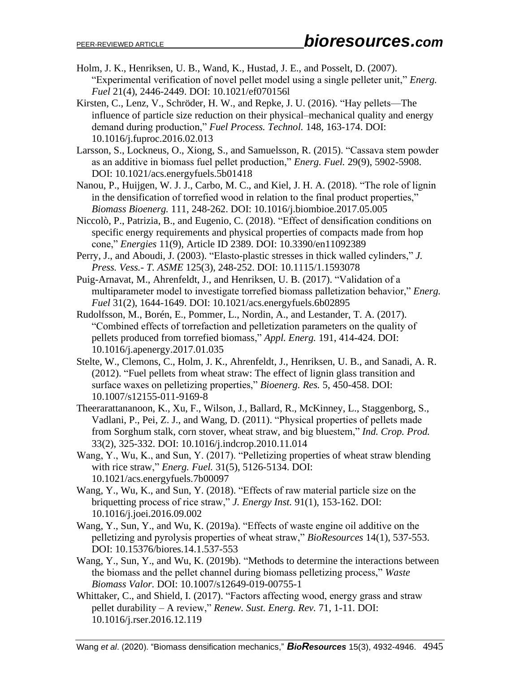- Holm, J. K., Henriksen, U. B., Wand, K., Hustad, J. E., and Posselt, D. (2007). "Experimental verification of novel pellet model using a single pelleter unit," *Energ. Fuel* 21(4), 2446-2449. DOI: 10.1021/ef070156l
- Kirsten, C., Lenz, V., Schröder, H. W., and Repke, J. U. (2016). "Hay pellets—The influence of particle size reduction on their physical–mechanical quality and energy demand during production," *Fuel Process. Technol.* 148, 163-174. DOI: 10.1016/j.fuproc.2016.02.013
- Larsson, S., Lockneus, O., Xiong, S., and Samuelsson, R. (2015). "Cassava stem powder as an additive in biomass fuel pellet production," *Energ. Fuel.* 29(9), 5902-5908. DOI: 10.1021/acs.energyfuels.5b01418
- Nanou, P., Huijgen, W. J. J., Carbo, M. C., and Kiel, J. H. A. (2018). "The role of lignin in the densification of torrefied wood in relation to the final product properties," *Biomass Bioenerg.* 111, 248-262. DOI: 10.1016/j.biombioe.2017.05.005
- Niccolò, P., Patrizia, B., and Eugenio, C. (2018). "Effect of densification conditions on specific energy requirements and physical properties of compacts made from hop cone," *Energies* 11(9), Article ID 2389. DOI: 10.3390/en11092389
- Perry, J., and Aboudi, J. (2003). "Elasto-plastic stresses in thick walled cylinders," *J. Press. Vess.- T. ASME* 125(3), 248-252. DOI: 10.1115/1.1593078
- Puig-Arnavat, M., Ahrenfeldt, J., and Henriksen, U. B. (2017). "Validation of a multiparameter model to investigate torrefied biomass palletization behavior," *Energ. Fuel* 31(2), 1644-1649. DOI: 10.1021/acs.energyfuels.6b02895
- Rudolfsson, M., Borén, E., Pommer, L., Nordin, A., and Lestander, T. A. (2017). "Combined effects of torrefaction and pelletization parameters on the quality of pellets produced from torrefied biomass," *Appl. Energ.* 191, 414-424. DOI: 10.1016/j.apenergy.2017.01.035
- Stelte, W., Clemons, C., Holm, J. K., Ahrenfeldt, J., Henriksen, U. B., and Sanadi, A. R. (2012). "Fuel pellets from wheat straw: The effect of lignin glass transition and surface waxes on pelletizing properties," *Bioenerg. Res.* 5, 450-458. DOI: 10.1007/s12155-011-9169-8
- Theerarattananoon, K., Xu, F., Wilson, J., Ballard, R., McKinney, L., Staggenborg, S., Vadlani, P., Pei, Z. J., and Wang, D. (2011). "Physical properties of pellets made from Sorghum stalk, corn stover, wheat straw, and big bluestem," *Ind. Crop. Prod.* 33(2), 325-332. DOI: 10.1016/j.indcrop.2010.11.014
- Wang, Y., Wu, K., and Sun, Y. (2017). "Pelletizing properties of wheat straw blending with rice straw," *Energ. Fuel.* 31(5), 5126-5134. DOI: 10.1021/acs.energyfuels.7b00097
- Wang, Y., Wu, K., and Sun, Y. (2018). "Effects of raw material particle size on the briquetting process of rice straw," *J. Energy Inst.* 91(1), 153-162. DOI: 10.1016/j.joei.2016.09.002
- Wang, Y., Sun, Y., and Wu, K. (2019a). "Effects of waste engine oil additive on the pelletizing and pyrolysis properties of wheat straw," *BioResources* 14(1), 537-553. DOI: 10.15376/biores.14.1.537-553
- Wang, Y., Sun, Y., and Wu, K. (2019b). "Methods to determine the interactions between the biomass and the pellet channel during biomass pelletizing process," *Waste Biomass Valor.* DOI: 10.1007/s12649-019-00755-1
- Whittaker, C., and Shield, I. (2017). "Factors affecting wood, energy grass and straw pellet durability – A review," *Renew. Sust. Energ. Rev.* 71, 1-11. DOI: 10.1016/j.rser.2016.12.119